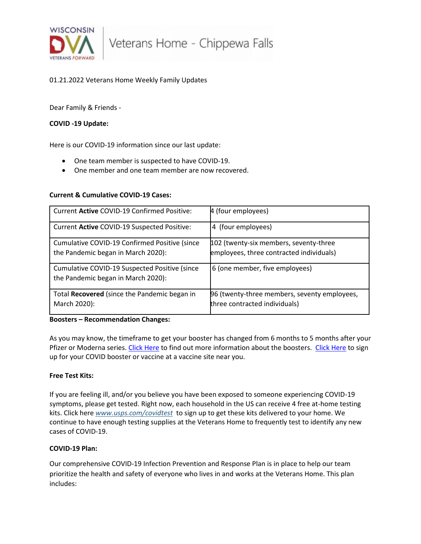

# 01.21.2022 Veterans Home Weekly Family Updates

Dear Family & Friends -

# **COVID -19 Update:**

Here is our COVID-19 information since our last update:

- One team member is suspected to have COVID-19.
- One member and one team member are now recovered.

# **Current & Cumulative COVID-19 Cases:**

| Current Active COVID-19 Confirmed Positive:                                         | 4 (four employees)                                                                 |
|-------------------------------------------------------------------------------------|------------------------------------------------------------------------------------|
| Current Active COVID-19 Suspected Positive:                                         | 4 (four employees)                                                                 |
| Cumulative COVID-19 Confirmed Positive (since<br>the Pandemic began in March 2020): | 102 (twenty-six members, seventy-three<br>employees, three contracted individuals) |
| Cumulative COVID-19 Suspected Positive (since<br>the Pandemic began in March 2020): | 6 (one member, five employees)                                                     |
| Total Recovered (since the Pandemic began in<br>March 2020):                        | 96 (twenty-three members, seventy employees,<br>three contracted individuals)      |

### **Boosters – Recommendation Changes:**

As you may know, the timeframe to get your booster has changed from 6 months to 5 months after your Pfizer or Moderna series. [Click Here](https://www.vaccines.gov/search/) to find out more information about the boosters. Click Here to sign up for your COVID booster or vaccine at a vaccine site near you.

### **Free Test Kits:**

If you are feeling ill, and/or you believe you have been exposed to someone experiencing COVID-19 symptoms, please get tested. Right now, each household in the US can receive 4 free at-home testing kits. Click here *[www.usps.com/covidtest](https://lnks.gd/l/eyJhbGciOiJIUzI1NiJ9.eyJidWxsZXRpbl9saW5rX2lkIjoxMDAsInVyaSI6ImJwMjpjbGljayIsImJ1bGxldGluX2lkIjoiMjAyMjAxMTkuNTIwNDcwNzEiLCJ1cmwiOiJodHRwOi8vd3d3LnVzcHMuY29tL2NvdmlkdGVzdCJ9.r3UmeHTHTtqkYq5rG12f9m0VBDmQ2E_lHdcYtCN-JsY/s/631542316/br/125324320159-l)* to sign up to get these kits delivered to your home. We continue to have enough testing supplies at the Veterans Home to frequently test to identify any new cases of COVID-19.

### **COVID-19 Plan:**

Our comprehensive COVID-19 Infection Prevention and Response Plan is in place to help our team prioritize the health and safety of everyone who lives in and works at the Veterans Home. This plan includes: